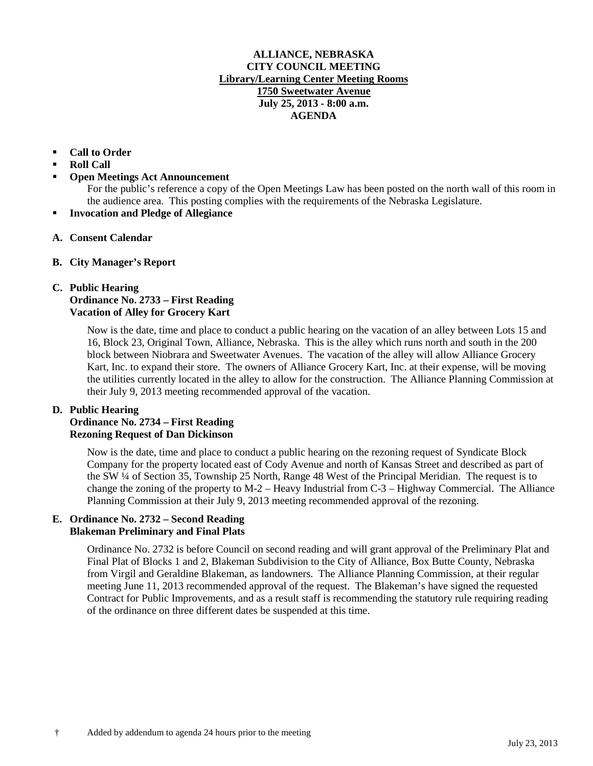#### **ALLIANCE, NEBRASKA CITY COUNCIL MEETING Library/Learning Center Meeting Rooms 1750 Sweetwater Avenue July 25, 2013 - 8:00 a.m. AGENDA**

### **Call to Order**

- **Roll Call**
- **Open Meetings Act Announcement**

For the public's reference a copy of the Open Meetings Law has been posted on the north wall of this room in the audience area. This posting complies with the requirements of the Nebraska Legislature.

- **Invocation and Pledge of Allegiance**
- **A. Consent Calendar**
- **B. City Manager's Report**

### **C. Public Hearing Ordinance No. 2733 – First Reading Vacation of Alley for Grocery Kart**

Now is the date, time and place to conduct a public hearing on the vacation of an alley between Lots 15 and 16, Block 23, Original Town, Alliance, Nebraska. This is the alley which runs north and south in the 200 block between Niobrara and Sweetwater Avenues. The vacation of the alley will allow Alliance Grocery Kart, Inc. to expand their store. The owners of Alliance Grocery Kart, Inc. at their expense, will be moving the utilities currently located in the alley to allow for the construction. The Alliance Planning Commission at their July 9, 2013 meeting recommended approval of the vacation.

#### **D. Public Hearing**

# **Ordinance No. 2734 – First Reading Rezoning Request of Dan Dickinson**

Now is the date, time and place to conduct a public hearing on the rezoning request of Syndicate Block Company for the property located east of Cody Avenue and north of Kansas Street and described as part of the SW ¼ of Section 35, Township 25 North, Range 48 West of the Principal Meridian. The request is to change the zoning of the property to M-2 – Heavy Industrial from C-3 – Highway Commercial. The Alliance Planning Commission at their July 9, 2013 meeting recommended approval of the rezoning.

## **E. Ordinance No. 2732 – Second Reading Blakeman Preliminary and Final Plats**

Ordinance No. 2732 is before Council on second reading and will grant approval of the Preliminary Plat and Final Plat of Blocks 1 and 2, Blakeman Subdivision to the City of Alliance, Box Butte County, Nebraska from Virgil and Geraldine Blakeman, as landowners. The Alliance Planning Commission, at their regular meeting June 11, 2013 recommended approval of the request. The Blakeman's have signed the requested Contract for Public Improvements, and as a result staff is recommending the statutory rule requiring reading of the ordinance on three different dates be suspended at this time.